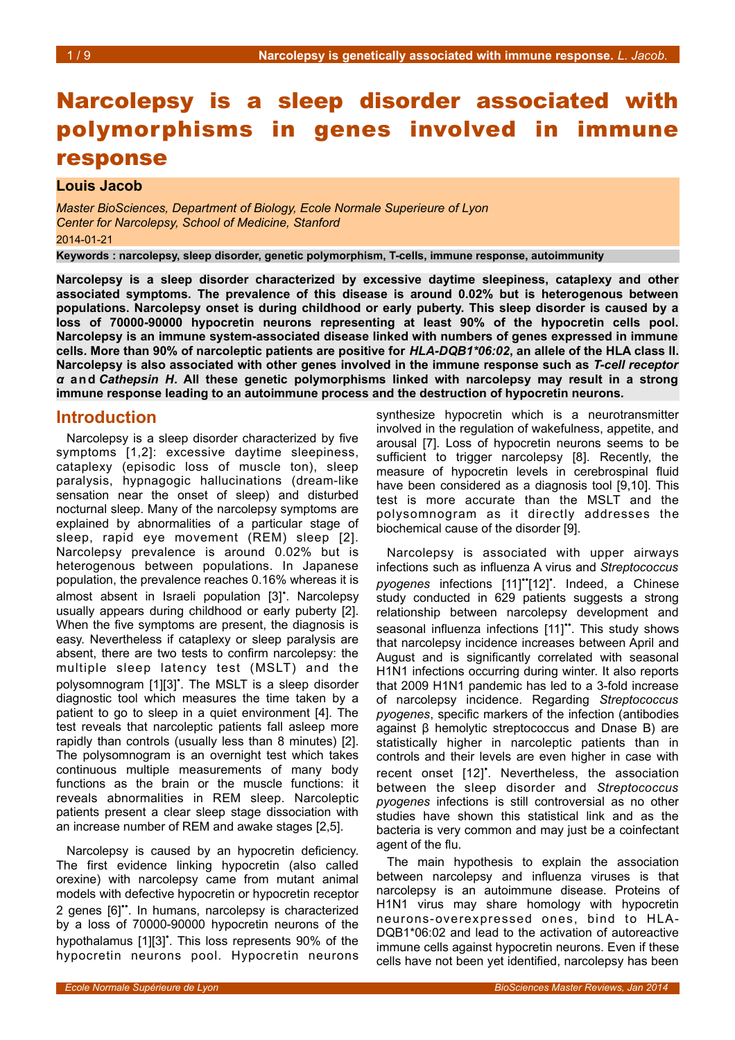# Narcolepsy is a sleep disorder associated with polymorphisms in genes involved in immune response

#### **Louis Jacob**

*Master BioSciences, Department of Biology, Ecole Normale Superieure of Lyon Center for Narcolepsy, School of Medicine, Stanford* 2014-01-21

**Keywords : narcolepsy, sleep disorder, genetic polymorphism, T-cells, immune response, autoimmunity**

**Narcolepsy is a sleep disorder characterized by excessive daytime sleepiness, cataplexy and other associated symptoms. The prevalence of this disease is around 0.02% but is heterogenous between populations. Narcolepsy onset is during childhood or early puberty. This sleep disorder is caused by a loss of 70000-90000 hypocretin neurons representing at least 90% of the hypocretin cells pool. Narcolepsy is an immune system-associated disease linked with numbers of genes expressed in immune cells. More than 90% of narcoleptic patients are positive for** *HLA-DQB1\*06:02***, an allele of the HLA class II. Narcolepsy is also associated with other genes involved in the immune response such as** *T-cell receptor α* **and** *Cathepsin H***. All these genetic polymorphisms linked with narcolepsy may result in a strong immune response leading to an autoimmune process and the destruction of hypocretin neurons.** 

### **Introduction**

Narcolepsy is a sleep disorder characterized by five symptoms [1,2]: excessive daytime sleepiness, cataplexy (episodic loss of muscle ton), sleep paralysis, hypnagogic hallucinations (dream-like sensation near the onset of sleep) and disturbed nocturnal sleep. Many of the narcolepsy symptoms are explained by abnormalities of a particular stage of sleep, rapid eye movement (REM) sleep [2]. Narcolepsy prevalence is around 0.02% but is heterogenous between populations. In Japanese population, the prevalence reaches 0.16% whereas it is almost absent in Israeli population [3]• . Narcolepsy usually appears during childhood or early puberty [2]. When the five symptoms are present, the diagnosis is easy. Nevertheless if cataplexy or sleep paralysis are absent, there are two tests to confirm narcolepsy: the multiple sleep latency test (MSLT) and the polysomnogram [1][3]<sup>\*</sup>. The MSLT is a sleep disorder diagnostic tool which measures the time taken by a patient to go to sleep in a quiet environment [4]. The test reveals that narcoleptic patients fall asleep more rapidly than controls (usually less than 8 minutes) [2]. The polysomnogram is an overnight test which takes continuous multiple measurements of many body functions as the brain or the muscle functions: it reveals abnormalities in REM sleep. Narcoleptic patients present a clear sleep stage dissociation with an increase number of REM and awake stages [2,5].

Narcolepsy is caused by an hypocretin deficiency. The first evidence linking hypocretin (also called orexine) with narcolepsy came from mutant animal models with defective hypocretin or hypocretin receptor 2 genes [6]••. In humans, narcolepsy is characterized by a loss of 70000-90000 hypocretin neurons of the hypothalamus [1][3]<sup>\*</sup>. This loss represents 90% of the hypocretin neurons pool. Hypocretin neurons

synthesize hypocretin which is a neurotransmitter involved in the regulation of wakefulness, appetite, and arousal [7]. Loss of hypocretin neurons seems to be sufficient to trigger narcolepsy [8]. Recently, the measure of hypocretin levels in cerebrospinal fluid have been considered as a diagnosis tool [9,10]. This test is more accurate than the MSLT and the polysomnogram as it directly addresses the biochemical cause of the disorder [9].

Narcolepsy is associated with upper airways infections such as influenza A virus and *Streptococcus* pyogenes infections [11]"[12]<sup>\*</sup>. Indeed, a Chinese study conducted in 629 patients suggests a strong relationship between narcolepsy development and seasonal influenza infections [11]". This study shows that narcolepsy incidence increases between April and August and is significantly correlated with seasonal H1N1 infections occurring during winter. It also reports that 2009 H1N1 pandemic has led to a 3-fold increase of narcolepsy incidence. Regarding *Streptococcus pyogenes*, specific markers of the infection (antibodies against β hemolytic streptococcus and Dnase B) are statistically higher in narcoleptic patients than in controls and their levels are even higher in case with recent onset [12]<sup>\*</sup>. Nevertheless, the association between the sleep disorder and *Streptococcus pyogenes* infections is still controversial as no other studies have shown this statistical link and as the bacteria is very common and may just be a coinfectant agent of the flu.

The main hypothesis to explain the association between narcolepsy and influenza viruses is that narcolepsy is an autoimmune disease. Proteins of H1N1 virus may share homology with hypocretin neurons-overexpressed ones, bind to HLA-DQB1\*06:02 and lead to the activation of autoreactive immune cells against hypocretin neurons. Even if these cells have not been yet identified, narcolepsy has been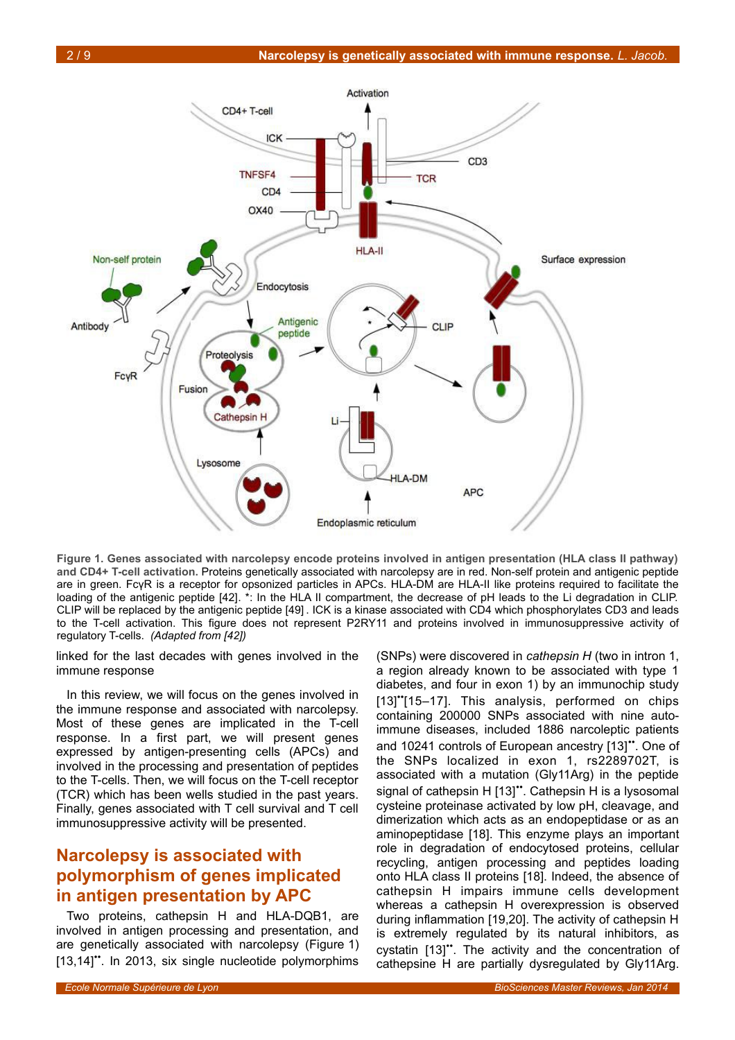

<span id="page-1-0"></span>**Figure 1. Genes associated with narcolepsy encode proteins involved in antigen presentation (HLA class II pathway) and CD4+ T-cell activation.** Proteins genetically associated with narcolepsy are in red. Non-self protein and antigenic peptide are in green. FcγR is a receptor for opsonized particles in APCs. HLA-DM are HLA-II like proteins required to facilitate the loading of the antigenic peptide [42]. \*: In the HLA II compartment, the decrease of pH leads to the Li degradation in CLIP. CLIP will be replaced by the antigenic peptide [49] . ICK is a kinase associated with CD4 which phosphorylates CD3 and leads to the T-cell activation. This figure does not represent P2RY11 and proteins involved in immunosuppressive activity of regulatory T-cells. *(Adapted from [42])*

linked for the last decades with genes involved in the immune response

In this review, we will focus on the genes involved in the immune response and associated with narcolepsy. Most of these genes are implicated in the T-cell response. In a first part, we will present genes expressed by antigen-presenting cells (APCs) and involved in the processing and presentation of peptides to the T-cells. Then, we will focus on the T-cell receptor (TCR) which has been wells studied in the past years. Finally, genes associated with T cell survival and T cell immunosuppressive activity will be presented.

# **Narcolepsy is associated with polymorphism of genes implicated in antigen presentation by APC**

Two proteins, cathepsin H and HLA-DQB1, are involved in antigen processing and presentation, and are genetically associated with narcolepsy (Figure [1\)](#page-1-0) [13,14]". In 2013, six single nucleotide polymorphims

(SNPs) were discovered in *cathepsin H* (two in intron 1, a region already known to be associated with type 1 diabetes, and four in exon 1) by an immunochip study [13]"[15–17]. This analysis, performed on chips containing 200000 SNPs associated with nine autoimmune diseases, included 1886 narcoleptic patients and 10241 controls of European ancestry [13]". One of the SNPs localized in exon 1, rs2289702T, is associated with a mutation (Gly11Arg) in the peptide signal of cathepsin H [13]". Cathepsin H is a lysosomal cysteine proteinase activated by low pH, cleavage, and dimerization which acts as an endopeptidase or as an aminopeptidase [18]. This enzyme plays an important role in degradation of endocytosed proteins, cellular recycling, antigen processing and peptides loading onto HLA class II proteins [18]. Indeed, the absence of cathepsin H impairs immune cells development whereas a cathepsin H overexpression is observed during inflammation [19,20]. The activity of cathepsin H is extremely regulated by its natural inhibitors, as cystatin [13]". The activity and the concentration of cathepsine H are partially dysregulated by Gly11Arg.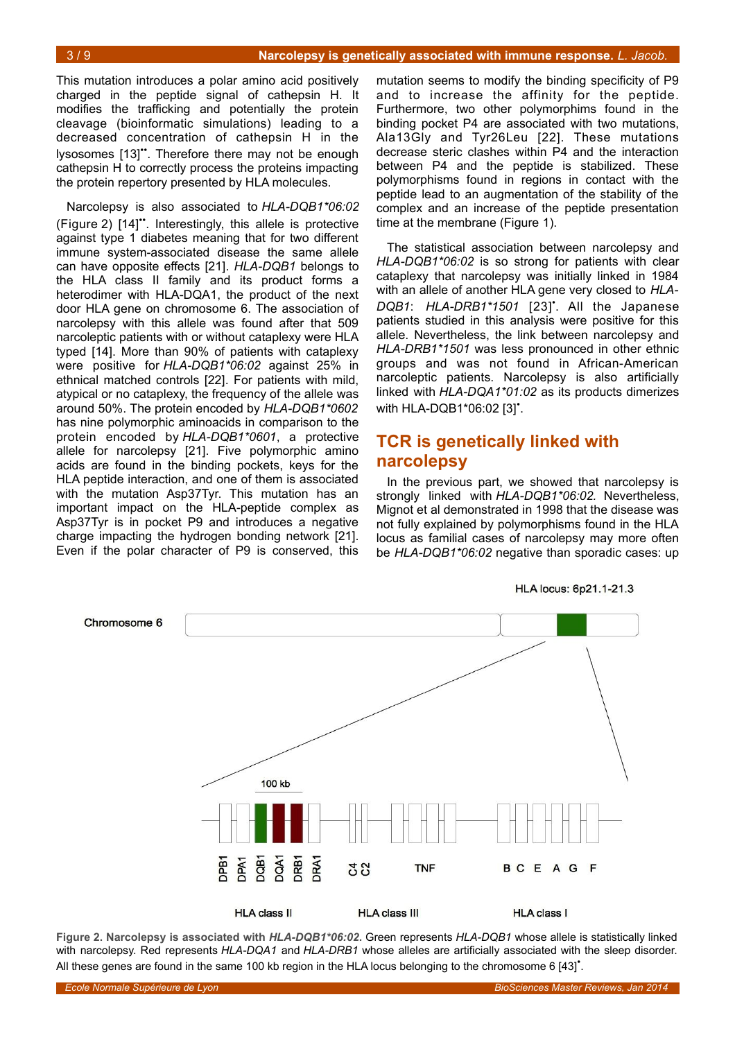This mutation introduces a polar amino acid positively charged in the peptide signal of cathepsin H. It modifies the trafficking and potentially the protein cleavage (bioinformatic simulations) leading to a decreased concentration of cathepsin H in the lysosomes [13]". Therefore there may not be enough cathepsin H to correctly process the proteins impacting the protein repertory presented by HLA molecules.

Narcolepsy is also associated to *HLA-DQB1\*06:02* (Figure [2\)](#page-2-0) [14]••. Interestingly, this allele is protective against type 1 diabetes meaning that for two different immune system-associated disease the same allele can have opposite effects [21]. *HLA-DQB1* belongs to the HLA class II family and its product forms a heterodimer with HLA-DQA1, the product of the next door HLA gene on chromosome 6. The association of narcolepsy with this allele was found after that 509 narcoleptic patients with or without cataplexy were HLA typed [14]. More than 90% of patients with cataplexy were positive for *HLA-DQB1\*06:02* against 25% in ethnical matched controls [22]. For patients with mild, atypical or no cataplexy, the frequency of the allele was around 50%. The protein encoded by *HLA-DQB1\*0602* has nine polymorphic aminoacids in comparison to the protein encoded by *HLA-DQB1\*0601*, a protective allele for narcolepsy [21]. Five polymorphic amino acids are found in the binding pockets, keys for the HLA peptide interaction, and one of them is associated with the mutation Asp37Tyr. This mutation has an important impact on the HLA-peptide complex as Asp37Tyr is in pocket P9 and introduces a negative charge impacting the hydrogen bonding network [21]. Even if the polar character of P9 is conserved, this

mutation seems to modify the binding specificity of P9 and to increase the affinity for the peptide. Furthermore, two other polymorphims found in the binding pocket P4 are associated with two mutations, Ala13Gly and Tyr26Leu [22]. These mutations decrease steric clashes within P4 and the interaction between P4 and the peptide is stabilized. These polymorphisms found in regions in contact with the peptide lead to an augmentation of the stability of the complex and an increase of the peptide presentation time at the membrane (Figure [1\)](#page-1-0).

The statistical association between narcolepsy and *HLA-DQB1\*06:02* is so strong for patients with clear cataplexy that narcolepsy was initially linked in 1984 with an allele of another HLA gene very closed to *HLA-DQB1*: *HLA-DRB1\*1501* [23]• . All the Japanese patients studied in this analysis were positive for this allele. Nevertheless, the link between narcolepsy and *HLA-DRB1\*1501* was less pronounced in other ethnic groups and was not found in African-American narcoleptic patients. Narcolepsy is also artificially linked with *HLA-DQA1\*01:02* as its products dimerizes with HLA-DQB1\*06:02 [3]<sup>\*</sup>.

# **TCR is genetically linked with narcolepsy**

In the previous part, we showed that narcolepsy is strongly linked with *HLA-DQB1\*06:02.* Nevertheless, Mignot et al demonstrated in 1998 that the disease was not fully explained by polymorphisms found in the HLA locus as familial cases of narcolepsy may more often be *HLA-DQB1\*06:02* negative than sporadic cases: up

**HLA locus: 6p21.1-21.3** 



<span id="page-2-0"></span>**Figure 2. Narcolepsy is associated with** *HLA-DQB1\*06:02***.** Green represents *HLA-DQB1* whose allele is statistically linked with narcolepsy. Red represents *HLA-DQA1* and *HLA-DRB1* whose alleles are artificially associated with the sleep disorder. All these genes are found in the same 100 kb region in the HLA locus belonging to the chromosome 6 [43]<sup>\*</sup>.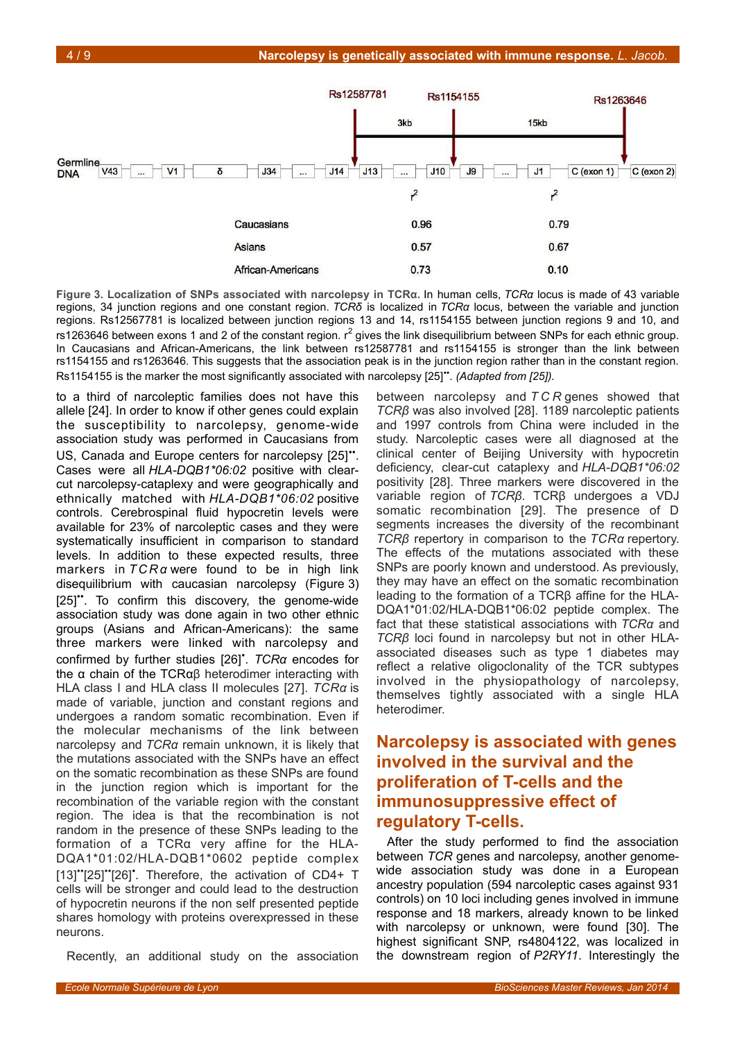

<span id="page-3-0"></span>**Figure 3. Localization of SNPs associated with narcolepsy in TCRα.** In human cells, *TCRα* locus is made of 43 variable regions, 34 junction regions and one constant region. *TCRδ* is localized in *TCRα* locus, between the variable and junction regions. Rs12567781 is localized between junction regions 13 and 14, rs1154155 between junction regions 9 and 10, and rs1263646 between exons 1 and 2 of the constant region.  $r^2$  gives the link disequilibrium between SNPs for each ethnic group. In Caucasians and African-Americans, the link between rs12587781 and rs1154155 is stronger than the link between rs1154155 and rs1263646. This suggests that the association peak is in the junction region rather than in the constant region. Rs1154155 is the marker the most significantly associated with narcolepsy [25]". *(Adapted from [25])*.

to a third of narcoleptic families does not have this allele [24]. In order to know if other genes could explain the susceptibility to narcolepsy, genome-wide association study was performed in Caucasians from US, Canada and Europe centers for narcolepsy [25]". Cases were all *HLA-DQB1\*06:02* positive with clearcut narcolepsy-cataplexy and were geographically and ethnically matched with *HLA-DQB1\*06:02* positive controls. Cerebrospinal fluid hypocretin levels were available for 23% of narcoleptic cases and they were systematically insufficient in comparison to standard levels. In addition to these expected results, three markers in *TCRα* were found to be in high link disequilibrium with caucasian narcolepsy (Figure [3\)](#page-3-0) [25]". To confirm this discovery, the genome-wide association study was done again in two other ethnic groups (Asians and African-Americans): the same three markers were linked with narcolepsy and confirmed by further studies [26]• . *TCRα* encodes for the α chain of the TCRαβ heterodimer interacting with HLA class I and HLA class II molecules [27]. *TCRα* is made of variable, junction and constant regions and undergoes a random somatic recombination. Even if the molecular mechanisms of the link between narcolepsy and *TCRα* remain unknown, it is likely that the mutations associated with the SNPs have an effect on the somatic recombination as these SNPs are found in the junction region which is important for the recombination of the variable region with the constant region. The idea is that the recombination is not random in the presence of these SNPs leading to the formation of a TCRα very affine for the HLA-DQA1\*01:02/HLA-DQB1\*0602 peptide complex  $[13]'$ <sup>\*</sup> $[25]'$ <sup>\*</sup> $[26]'$ . Therefore, the activation of CD4+ T cells will be stronger and could lead to the destruction of hypocretin neurons if the non self presented peptide shares homology with proteins overexpressed in these neurons.

Recently, an additional study on the association

between narcolepsy and *T C R* genes showed that *TCRβ* was also involved [28]. 1189 narcoleptic patients and 1997 controls from China were included in the study. Narcoleptic cases were all diagnosed at the clinical center of Beijing University with hypocretin deficiency, clear-cut cataplexy and *HLA-DQB1\*06:02* positivity [28]. Three markers were discovered in the variable region of *TCRβ*. TCRβ undergoes a VDJ somatic recombination [29]. The presence of D segments increases the diversity of the recombinant *TCRβ* repertory in comparison to the *TCRα* repertory. The effects of the mutations associated with these SNPs are poorly known and understood. As previously, they may have an effect on the somatic recombination leading to the formation of a TCRβ affine for the HLA-DQA1\*01:02/HLA-DQB1\*06:02 peptide complex. The fact that these statistical associations with *TCRα* and *TCRβ* loci found in narcolepsy but not in other HLAassociated diseases such as type 1 diabetes may reflect a relative oligoclonality of the TCR subtypes involved in the physiopathology of narcolepsy, themselves tightly associated with a single HLA heterodimer.

# **Narcolepsy is associated with genes involved in the survival and the proliferation of T-cells and the immunosuppressive effect of regulatory T-cells.**

After the study performed to find the association between *TCR* genes and narcolepsy, another genomewide association study was done in a European ancestry population (594 narcoleptic cases against 931 controls) on 10 loci including genes involved in immune response and 18 markers, already known to be linked with narcolepsy or unknown, were found [30]. The highest significant SNP, rs4804122, was localized in the downstream region of *P2RY11*. Interestingly the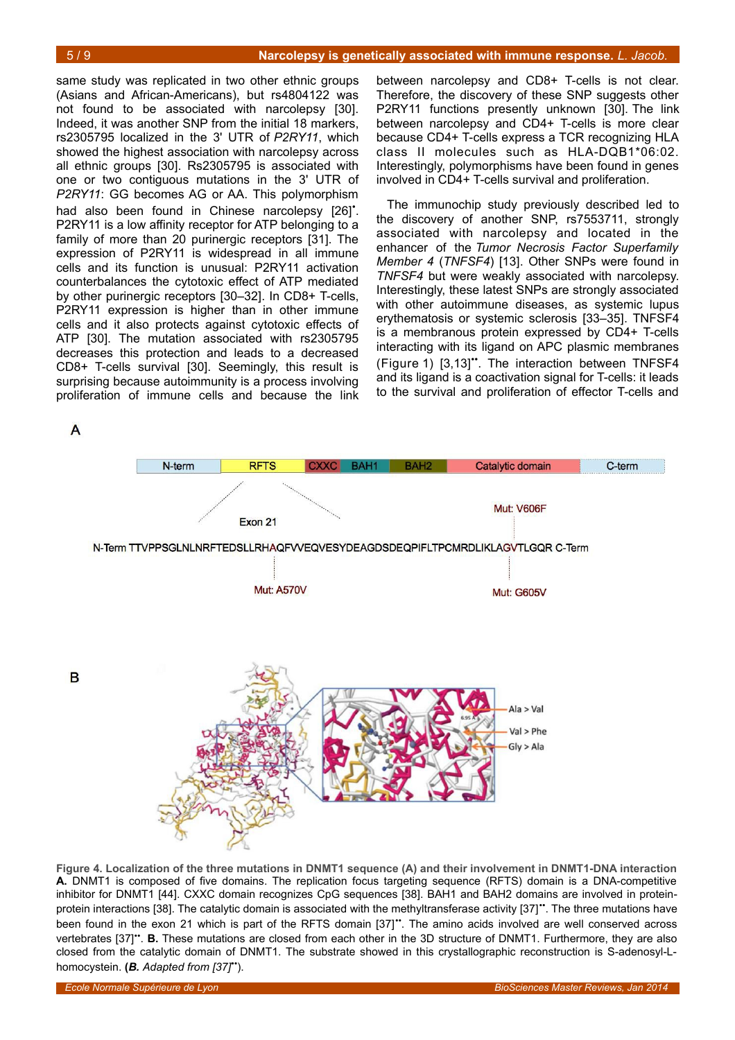between narcolepsy and CD8+ T-cells is not clear. Therefore, the discovery of these SNP suggests other P2RY11 functions presently unknown [30]. The link between narcolepsy and CD4+ T-cells is more clear because CD4+ T-cells express a TCR recognizing HLA class II molecules such as HLA-DQB1\*06:02. Interestingly, polymorphisms have been found in genes involved in CD4+ T-cells survival and proliferation.

The immunochip study previously described led to the discovery of another SNP, rs7553711, strongly associated with narcolepsy and located in the enhancer of the *Tumor Necrosis Factor Superfamily Member 4* (*TNFSF4*) [13]. Other SNPs were found in *TNFSF4* but were weakly associated with narcolepsy. Interestingly, these latest SNPs are strongly associated with other autoimmune diseases, as systemic lupus erythematosis or systemic sclerosis [33–35]. TNFSF4 is a membranous protein expressed by CD4+ T-cells interacting with its ligand on APC plasmic membranes (Figure [1\)](#page-1-0) [3,13]••. The interaction between TNFSF4 and its ligand is a coactivation signal for T-cells: it leads to the survival and proliferation of effector T-cells and

same study was replicated in two other ethnic groups (Asians and African-Americans), but rs4804122 was not found to be associated with narcolepsy [30]. Indeed, it was another SNP from the initial 18 markers, rs2305795 localized in the 3' UTR of *P2RY11*, which showed the highest association with narcolepsy across all ethnic groups [30]. Rs2305795 is associated with one or two contiguous mutations in the 3' UTR of *P2RY11*: GG becomes AG or AA. This polymorphism had also been found in Chinese narcolepsy [26]<sup>\*</sup>. P2RY11 is a low affinity receptor for ATP belonging to a family of more than 20 purinergic receptors [31]. The expression of P2RY11 is widespread in all immune cells and its function is unusual: P2RY11 activation counterbalances the cytotoxic effect of ATP mediated by other purinergic receptors [30–32]. In CD8+ T-cells, P2RY11 expression is higher than in other immune cells and it also protects against cytotoxic effects of ATP [30]. The mutation associated with rs2305795 decreases this protection and leads to a decreased CD8+ T-cells survival [30]. Seemingly, this result is surprising because autoimmunity is a process involving proliferation of immune cells and because the link

 $\overline{A}$ 

B



<span id="page-4-0"></span>**Figure 4. Localization of the three mutations in DNMT1 sequence (A) and their involvement in DNMT1-DNA interaction A.** DNMT1 is composed of five domains. The replication focus targeting sequence (RFTS) domain is a DNA-competitive inhibitor for DNMT1 [44]. CXXC domain recognizes CpG sequences [38]. BAH1 and BAH2 domains are involved in proteinprotein interactions [38]. The catalytic domain is associated with the methyltransferase activity [37]". The three mutations have been found in the exon 21 which is part of the RFTS domain [37]". The amino acids involved are well conserved across vertebrates [37]". **B.** These mutations are closed from each other in the 3D structure of DNMT1. Furthermore, they are also closed from the catalytic domain of DNMT1. The substrate showed in this crystallographic reconstruction is S-adenosyl-Lhomocystein. **(***B. Adapted from [37]*••).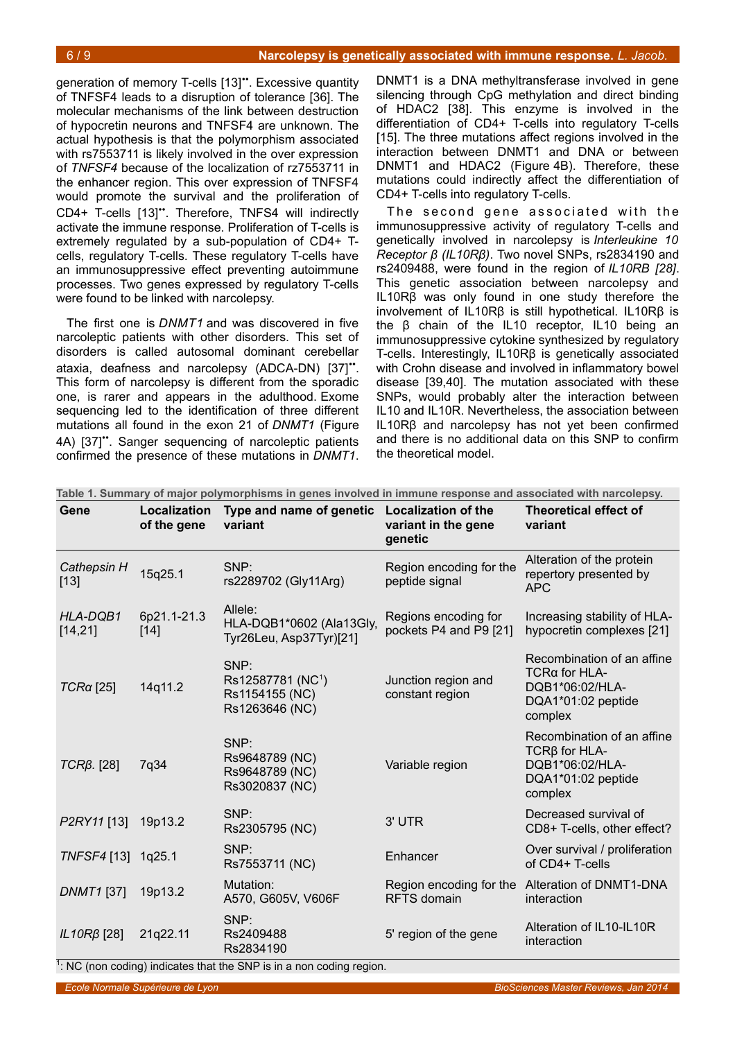generation of memory T-cells [13]". Excessive quantity of TNFSF4 leads to a disruption of tolerance [36]. The molecular mechanisms of the link between destruction of hypocretin neurons and TNFSF4 are unknown. The actual hypothesis is that the polymorphism associated with rs7553711 is likely involved in the over expression of *TNFSF4* because of the localization of rz7553711 in the enhancer region. This over expression of TNFSF4 would promote the survival and the proliferation of CD4+ T-cells [13]••. Therefore, TNFS4 will indirectly activate the immune response. Proliferation of T-cells is extremely regulated by a sub-population of CD4+ Tcells, regulatory T-cells. These regulatory T-cells have an immunosuppressive effect preventing autoimmune processes. Two genes expressed by regulatory T-cells were found to be linked with narcolepsy.

The first one is *DNMT1* and was discovered in five narcoleptic patients with other disorders. This set of disorders is called autosomal dominant cerebellar ataxia, deafness and narcolepsy (ADCA-DN) [37]". This form of narcolepsy is different from the sporadic one, is rarer and appears in the adulthood. Exome sequencing led to the identification of three different mutations all found in the exon 21 of *DNMT1* (Figure [4A](#page-4-0)) [37]". Sanger sequencing of narcoleptic patients confirmed the presence of these mutations in *DNMT1*.

DNMT1 is a DNA methyltransferase involved in gene silencing through CpG methylation and direct binding of HDAC2 [38]. This enzyme is involved in the differentiation of CD4+ T-cells into regulatory T-cells [15]. The three mutations affect regions involved in the interaction between DNMT1 and DNA or between DNMT1 and HDAC2 (Figure [4B](#page-4-0)). Therefore, these mutations could indirectly affect the differentiation of CD4+ T-cells into regulatory T-cells.

The second gene associated with the immunosuppressive activity of regulatory T-cells and genetically involved in narcolepsy is *Interleukine 10 Receptor β (IL10Rβ)*. Two novel SNPs, rs2834190 and rs2409488, were found in the region of *IL10RB [28]*. This genetic association between narcolepsy and IL10Rβ was only found in one study therefore the involvement of IL10Rβ is still hypothetical. IL10Rβ is the β chain of the IL10 receptor, IL10 being an immunosuppressive cytokine synthesized by regulatory T-cells. Interestingly, IL10Rβ is genetically associated with Crohn disease and involved in inflammatory bowel disease [39,40]. The mutation associated with these SNPs, would probably alter the interaction between IL10 and IL10R. Nevertheless, the association between IL10Rβ and narcolepsy has not yet been confirmed and there is no additional data on this SNP to confirm the theoretical model.

| Gene                  | Localization<br>of the gene | Type and name of genetic<br>variant                                       | <b>Localization of the</b><br>variant in the gene<br>genetic | <b>Theoretical effect of</b><br>variant                                                                   |
|-----------------------|-----------------------------|---------------------------------------------------------------------------|--------------------------------------------------------------|-----------------------------------------------------------------------------------------------------------|
| Cathepsin H<br>$[13]$ | 15q25.1                     | SNP:<br>rs2289702 (Gly11Arg)                                              | Region encoding for the<br>peptide signal                    | Alteration of the protein<br>repertory presented by<br>APC                                                |
| HLA-DQB1<br>[14, 21]  | 6p21.1-21.3<br>$[14]$       | Allele:<br>HLA-DQB1*0602 (Ala13Gly,<br>Tyr26Leu, Asp37Tyr)[21]            | Regions encoding for<br>pockets P4 and P9 [21]               | Increasing stability of HLA-<br>hypocretin complexes [21]                                                 |
| $TCRa$ [25]           | 14q11.2                     | SNP:<br>Rs12587781 (NC <sup>1</sup> )<br>Rs1154155 (NC)<br>Rs1263646 (NC) | Junction region and<br>constant region                       | Recombination of an affine<br>$TCR\alpha$ for $HLA$ -<br>DQB1*06:02/HLA-<br>DQA1*01:02 peptide<br>complex |
| $TCR\beta$ . [28]     | 7q34                        | SNP:<br>Rs9648789 (NC)<br>Rs9648789 (NC)<br>Rs3020837 (NC)                | Variable region                                              | Recombination of an affine<br>$TCR\beta$ for HLA-<br>DQB1*06:02/HLA-<br>DQA1*01:02 peptide<br>complex     |
| P2RY11 [13]           | 19p13.2                     | SNP:<br>Rs2305795 (NC)                                                    | 3' UTR                                                       | Decreased survival of<br>CD8+ T-cells, other effect?                                                      |
| TNFSF4 [13] 1q25.1    |                             | SNP:<br>Rs7553711 (NC)                                                    | Enhancer                                                     | Over survival / proliferation<br>of $CD4+T$ -cells                                                        |
| <b>DNMT1</b> [37]     | 19p13.2                     | Mutation:<br>A570, G605V, V606F                                           | Region encoding for the<br><b>RFTS</b> domain                | Alteration of DNMT1-DNA<br>interaction                                                                    |
| IL10R $\beta$ [28]    | 21q22.11                    | SNP:<br>Rs2409488<br>Rs2834190                                            | 5' region of the gene                                        | Alteration of IL10-IL10R<br>interaction                                                                   |

<span id="page-5-0"></span>**Table 1. Summary of major polymorphisms in genes involved in immune response and associated with narcolepsy.**

 $1$ : NC (non coding) indicates that the SNP is in a non coding region.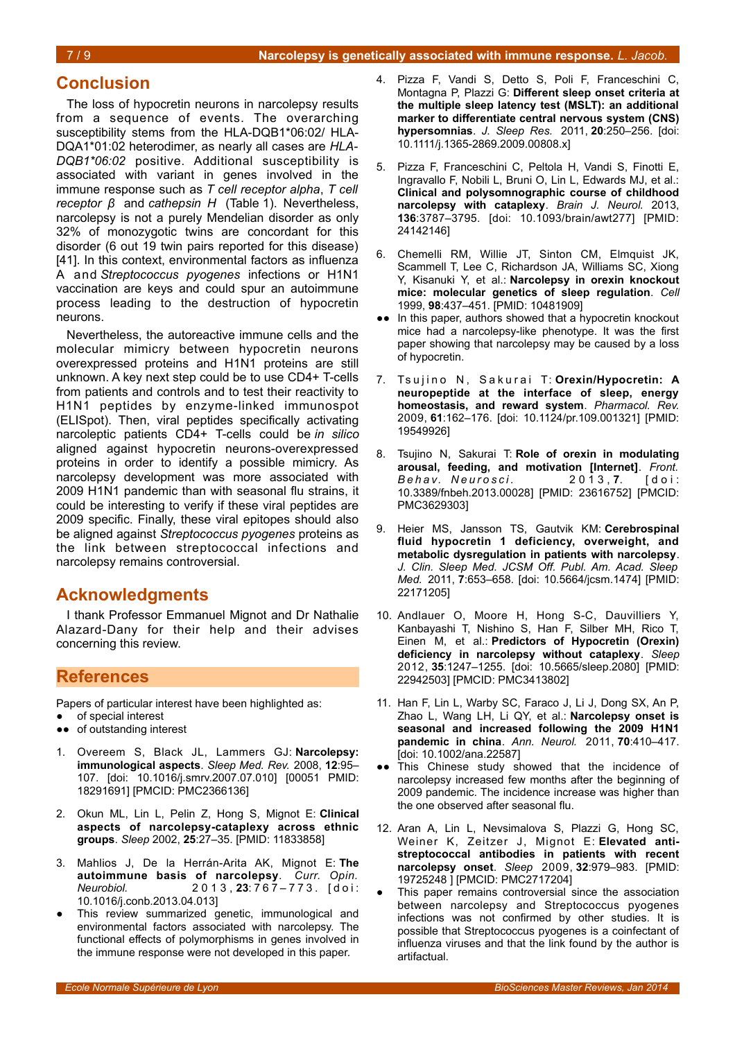#### **Conclusion**

The loss of hypocretin neurons in narcolepsy results from a sequence of events. The overarching susceptibility stems from the HLA-DQB1\*06:02/ HLA-DQA1\*01:02 heterodimer, as nearly all cases are *HLA-DQB1\*06:02* positive. Additional susceptibility is associated with variant in genes involved in the immune response such as *T cell receptor alpha*, *T cell receptor β* and *cathepsin H* (Table [1\)](#page-5-0). Nevertheless, narcolepsy is not a purely Mendelian disorder as only 32% of monozygotic twins are concordant for this disorder (6 out 19 twin pairs reported for this disease) [41]. In this context, environmental factors as influenza A and *Streptococcus pyogenes* infections or H1N1 vaccination are keys and could spur an autoimmune process leading to the destruction of hypocretin neurons.

Nevertheless, the autoreactive immune cells and the molecular mimicry between hypocretin neurons overexpressed proteins and H1N1 proteins are still unknown. A key next step could be to use CD4+ T-cells from patients and controls and to test their reactivity to H1N1 peptides by enzyme-linked immunospot (ELISpot). Then, viral peptides specifically activating narcoleptic patients CD4+ T-cells could be *in silico* aligned against hypocretin neurons-overexpressed proteins in order to identify a possible mimicry. As narcolepsy development was more associated with 2009 H1N1 pandemic than with seasonal flu strains, it could be interesting to verify if these viral peptides are 2009 specific. Finally, these viral epitopes should also be aligned against *Streptococcus pyogenes* proteins as the link between streptococcal infections and narcolepsy remains controversial.

## **Acknowledgments**

I thank Professor Emmanuel Mignot and Dr Nathalie Alazard-Dany for their help and their advises concerning this review.

### **References**

Papers of particular interest have been highlighted as:

- of special interest
- ●● of outstanding interest
- 1. Overeem S, Black JL, Lammers GJ: **Narcolepsy: immunological aspects**. *Sleep Med. Rev.* 2008, **12**:95– 107. [doi: 10.1016/j.smrv.2007.07.010] [00051 PMID: 18291691] [PMCID: PMC2366136]
- 2. Okun ML, Lin L, Pelin Z, Hong S, Mignot E: **Clinical aspects of narcolepsy-cataplexy across ethnic groups**. *Sleep* 2002, **25**:27–35. [PMID: 11833858]
- 3. Mahlios J, De la Herrán-Arita AK, Mignot E: **The autoimmune basis of narcolepsy**. *Curr. Opin. Neurobiol.* 2 0 1 3 , **23**: 7 6 7 – 7 7 3 . [ d o i : 10.1016/j.conb.2013.04.013]
- This review summarized genetic, immunological and environmental factors associated with narcolepsy. The functional effects of polymorphisms in genes involved in the immune response were not developed in this paper.
- 4. Pizza F, Vandi S, Detto S, Poli F, Franceschini C, Montagna P, Plazzi G: **Different sleep onset criteria at the multiple sleep latency test (MSLT): an additional marker to differentiate central nervous system (CNS) hypersomnias**. *J. Sleep Res.* 2011, **20**:250–256. [doi: 10.1111/j.1365-2869.2009.00808.x]
- 5. Pizza F, Franceschini C, Peltola H, Vandi S, Finotti E, Ingravallo F, Nobili L, Bruni O, Lin L, Edwards MJ, et al.: **Clinical and polysomnographic course of childhood narcolepsy with cataplexy**. *Brain J. Neurol.* 2013, **136**:3787–3795. [doi: 10.1093/brain/awt277] [PMID: 24142146]
- 6. Chemelli RM, Willie JT, Sinton CM, Elmquist JK, Scammell T, Lee C, Richardson JA, Williams SC, Xiong Y, Kisanuki Y, et al.: **Narcolepsy in orexin knockout mice: molecular genetics of sleep regulation**. *Cell* 1999, **98**:437–451. [PMID: 10481909]
- ●● In this paper, authors showed that a hypocretin knockout mice had a narcolepsy-like phenotype. It was the first paper showing that narcolepsy may be caused by a loss of hypocretin.
- 7. Tsujino N, Sakurai T: Orexin/Hypocretin: A **neuropeptide at the interface of sleep, energy homeostasis, and reward system**. *Pharmacol. Rev.* 2009, **61**:162–176. [doi: 10.1124/pr.109.001321] [PMID: 19549926]
- 8. Tsujino N, Sakurai T: **Role of orexin in modulating arousal, feeding, and motivation [Internet]**. *Front. Behav. Neurosci.* 2013, 7. [doi: 10.3389/fnbeh.2013.00028] [PMID: 23616752] [PMCID: PMC3629303]
- 9. Heier MS, Jansson TS, Gautvik KM: **Cerebrospinal fluid hypocretin 1 deficiency, overweight, and metabolic dysregulation in patients with narcolepsy**. *J. Clin. Sleep Med. JCSM Off. Publ. Am. Acad. Sleep Med.* 2011, **7**:653–658. [doi: 10.5664/jcsm.1474] [PMID: 22171205]
- 10. Andlauer O, Moore H, Hong S-C, Dauvilliers Y, Kanbayashi T, Nishino S, Han F, Silber MH, Rico T, Einen M, et al.: **Predictors of Hypocretin (Orexin) deficiency in narcolepsy without cataplexy**. *Sleep* 2012, **35**:1247–1255. [doi: 10.5665/sleep.2080] [PMID: 22942503] [PMCID: PMC3413802]
- 11. Han F, Lin L, Warby SC, Faraco J, Li J, Dong SX, An P, Zhao L, Wang LH, Li QY, et al.: **Narcolepsy onset is seasonal and increased following the 2009 H1N1 pandemic in china**. *Ann. Neurol.* 2011, **70**:410–417. [doi: 10.1002/ana.22587]
- •• This Chinese study showed that the incidence of narcolepsy increased few months after the beginning of 2009 pandemic. The incidence increase was higher than the one observed after seasonal flu.
- 12. Aran A, Lin L, Nevsimalova S, Plazzi G, Hong SC, Weiner K, Zeitzer J, Mignot E: **Elevated antistreptococcal antibodies in patients with recent narcolepsy onset**. *Sleep* 2009, **32**:979–983. [PMID: 19725248 ] [PMCID: PMC2717204]
- This paper remains controversial since the association between narcolepsy and Streptococcus pyogenes infections was not confirmed by other studies. It is possible that Streptococcus pyogenes is a coinfectant of influenza viruses and that the link found by the author is artifactual.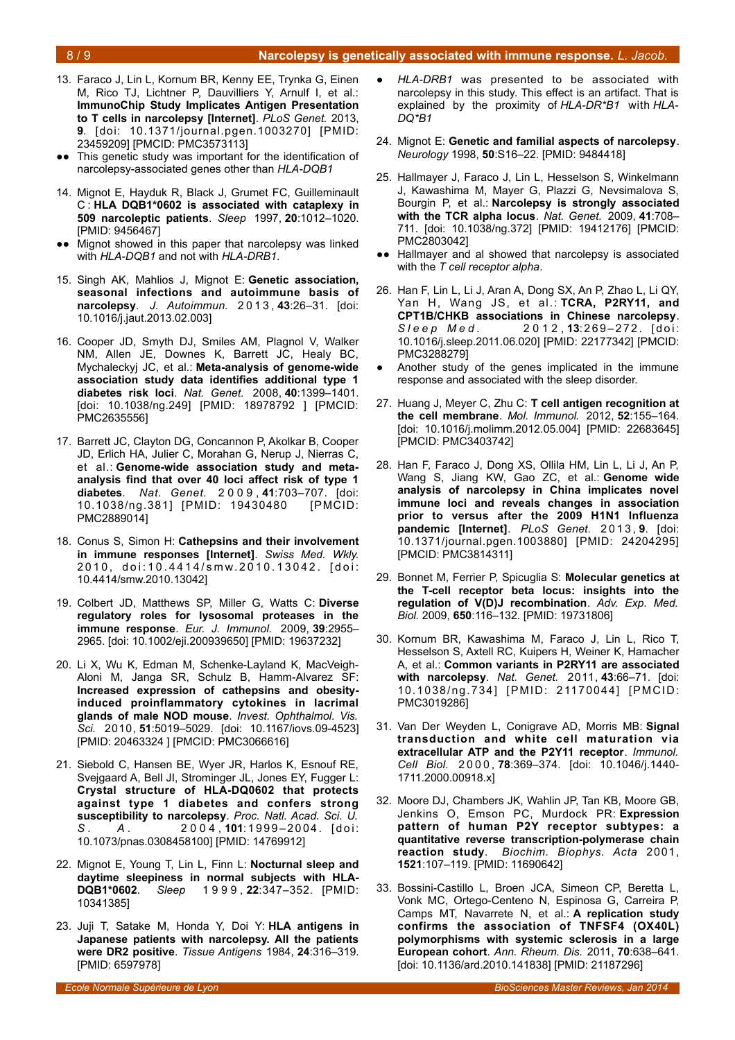- 13. Faraco J, Lin L, Kornum BR, Kenny EE, Trynka G, Einen M, Rico TJ, Lichtner P, Dauvilliers Y, Arnulf I, et al.: **ImmunoChip Study Implicates Antigen Presentation to T cells in narcolepsy [Internet]**. *PLoS Genet.* 2013, **9**. [doi: 10.1371/journal.pgen.1003270] [PMID: 23459209] [PMCID: PMC3573113]
- This genetic study was important for the identification of narcolepsy-associated genes other than *HLA-DQB1*
- 14. Mignot E, Hayduk R, Black J, Grumet FC, Guilleminault C : **HLA DQB1\*0602 is associated with cataplexy in 509 narcoleptic patients**. *Sleep* 1997, **20**:1012–1020. [PMID: 9456467]
- ●● Mignot showed in this paper that narcolepsy was linked with *HLA-DQB1* and not with *HLA-DRB1*.
- 15. Singh AK, Mahlios J, Mignot E: **Genetic association, seasonal infections and autoimmune basis of narcolepsy**. *J. Autoimmun.* 2 0 1 3 , **43**:26–31. [doi: 10.1016/j.jaut.2013.02.003]
- 16. Cooper JD, Smyth DJ, Smiles AM, Plagnol V, Walker NM, Allen JE, Downes K, Barrett JC, Healy BC, Mychaleckyj JC, et al.: **Meta-analysis of genome-wide association study data identifies additional type 1 diabetes risk loci**. *Nat. Genet.* 2008, **40**:1399–1401. [doi: 10.1038/ng.249] [PMID: 18978792 ] [PMCID: PMC2635556]
- 17. Barrett JC, Clayton DG, Concannon P, Akolkar B, Cooper JD, Erlich HA, Julier C, Morahan G, Nerup J, Nierras C, et al.: **Genome-wide association study and metaanalysis find that over 40 loci affect risk of type 1 diabetes**. *Nat. Genet.* 2 0 0 9 , **41**:703–707. [doi: 10.1038/ng.381] [PMID: 19430480 [PMCID: PMC2889014]
- 18. Conus S, Simon H: **Cathepsins and their involvement in immune responses [Internet]**. *Swiss Med. Wkly.* 2010, doi:10.4414/smw.2010.13042. [doi: 10.4414/smw.2010.13042]
- 19. Colbert JD, Matthews SP, Miller G, Watts C: **Diverse regulatory roles for lysosomal proteases in the immune response**. *Eur. J. Immunol.* 2009, **39**:2955– 2965. [doi: 10.1002/eji.200939650] [PMID: 19637232]
- 20. Li X, Wu K, Edman M, Schenke-Layland K, MacVeigh-Aloni M, Janga SR, Schulz B, Hamm-Alvarez SF: **Increased expression of cathepsins and obesityinduced proinflammatory cytokines in lacrimal glands of male NOD mouse**. *Invest. Ophthalmol. Vis. Sci.* 2010, **51**:5019–5029. [doi: 10.1167/iovs.09-4523] [PMID: 20463324 ] [PMCID: PMC3066616]
- 21. Siebold C, Hansen BE, Wyer JR, Harlos K, Esnouf RE, Svejgaard A, Bell JI, Strominger JL, Jones EY, Fugger L: **Crystal structure of HLA-DQ0602 that protects against type 1 diabetes and confers strong susceptibility to narcolepsy**. *Proc. Natl. Acad. Sci. U.* S . A . 2004, **101**:1999-2004. [doi: 10.1073/pnas.0308458100] [PMID: 14769912]
- 22. Mignot E, Young T, Lin L, Finn L: **Nocturnal sleep and daytime sleepiness in normal subjects with HLA-DQB1\*0602**. *Sleep* 1 9 9 9 , **22**:347–352. [PMID: 10341385]
- 23. Juji T, Satake M, Honda Y, Doi Y: **HLA antigens in Japanese patients with narcolepsy. All the patients were DR2 positive**. *Tissue Antigens* 1984, **24**:316–319. [PMID: 6597978]
- *HLA-DRB1* was presented to be associated with narcolepsy in this study. This effect is an artifact. That is explained by the proximity of *HLA-DR\*B1* with *HLA-DQ\*B1*
- 24. Mignot E: **Genetic and familial aspects of narcolepsy**. *Neurology* 1998, **50**:S16–22. [PMID: 9484418]
- 25. Hallmayer J, Faraco J, Lin L, Hesselson S, Winkelmann J, Kawashima M, Mayer G, Plazzi G, Nevsimalova S, Bourgin P, et al.: **Narcolepsy is strongly associated with the TCR alpha locus**. *Nat. Genet.* 2009, **41**:708– 711. [doi: 10.1038/ng.372] [PMID: 19412176] [PMCID: PMC2803042]
- ●● Hallmayer and al showed that narcolepsy is associated with the *T cell receptor alpha*.
- 26. Han F, Lin L, Li J, Aran A, Dong SX, An P, Zhao L, Li QY, Yan H, Wang JS, et al.: **TCRA, P2RY11, and CPT1B/CHKB associations in Chinese narcolepsy**. *Sleep Med.* 2012, 13:269-272. [doi: 10.1016/j.sleep.2011.06.020] [PMID: 22177342] [PMCID: PMC3288279]
- Another study of the genes implicated in the immune response and associated with the sleep disorder.
- 27. Huang J, Meyer C, Zhu C: **T cell antigen recognition at the cell membrane**. *Mol. Immunol.* 2012, **52**:155–164. [doi: 10.1016/j.molimm.2012.05.004] [PMID: 22683645] [PMCID: PMC3403742]
- 28. Han F, Faraco J, Dong XS, Ollila HM, Lin L, Li J, An P, Wang S, Jiang KW, Gao ZC, et al.: **Genome wide analysis of narcolepsy in China implicates novel immune loci and reveals changes in association prior to versus after the 2009 H1N1 Influenza pandemic [Internet]**. *PLoS Genet.* 2 0 1 3 , **9**. [doi: 10.1371/journal.pgen.1003880] [PMID: 24204295] [PMCID: PMC3814311]
- 29. Bonnet M, Ferrier P, Spicuglia S: **Molecular genetics at the T-cell receptor beta locus: insights into the regulation of V(D)J recombination**. *Adv. Exp. Med. Biol.* 2009, **650**:116–132. [PMID: 19731806]
- 30. Kornum BR, Kawashima M, Faraco J, Lin L, Rico T, Hesselson S, Axtell RC, Kuipers H, Weiner K, Hamacher A, et al.: **Common variants in P2RY11 are associated with narcolepsy**. *Nat. Genet.* 2011, **43**:66–71. [doi: 10.1038/ng.734] [PMID: 21170044] [PMCID: PMC3019286]
- 31. Van Der Weyden L, Conigrave AD, Morris MB: **Signal transduction and white cell maturation via extracellular ATP and the P2Y11 receptor**. *Immunol. Cell Biol.* 2 0 0 0 , **78**:369–374. [doi: 10.1046/j.1440- 1711.2000.00918.x]
- 32. Moore DJ, Chambers JK, Wahlin JP, Tan KB, Moore GB, Jenkins O, Emson PC, Murdock PR: **Expression pattern of human P2Y receptor subtypes: a quantitative reverse transcription-polymerase chain reaction study**. *Biochim. Biophys. Acta* 2001, **1521**:107–119. [PMID: 11690642]
- 33. Bossini-Castillo L, Broen JCA, Simeon CP, Beretta L, Vonk MC, Ortego-Centeno N, Espinosa G, Carreira P, Camps MT, Navarrete N, et al.: **A replication study confirms the association of TNFSF4 (OX40L) polymorphisms with systemic sclerosis in a large European cohort**. *Ann. Rheum. Dis.* 2011, **70**:638–641. [doi: 10.1136/ard.2010.141838] [PMID: 21187296]